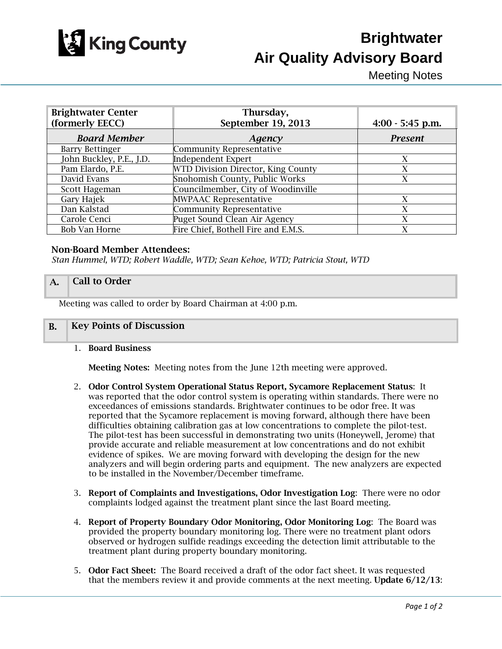

# **Brightwater Air Quality Advisory Board**

Meeting Notes

| <b>Brightwater Center</b><br>(formerly EECC) | Thursday,<br>September 19, 2013     | $4:00 - 5:45$ p.m. |
|----------------------------------------------|-------------------------------------|--------------------|
| <b>Board Member</b>                          | Agency                              | <b>Present</b>     |
| <b>Barry Bettinger</b>                       | Community Representative            |                    |
| John Buckley, P.E., J.D.                     | <b>Independent Expert</b>           | X                  |
| Pam Elardo, P.E.                             | WTD Division Director, King County  | X                  |
| David Evans                                  | Snohomish County, Public Works      | X                  |
| Scott Hageman                                | Councilmember, City of Woodinville  |                    |
| Gary Hajek                                   | <b>MWPAAC Representative</b>        | X                  |
| Dan Kalstad                                  | Community Representative            | X                  |
| Carole Cenci                                 | Puget Sound Clean Air Agency        | X                  |
| Bob Van Horne                                | Fire Chief, Bothell Fire and E.M.S. |                    |

#### Non-Board Member Attendees:

*Stan Hummel, WTD; Robert Waddle, WTD; Sean Kehoe, WTD; Patricia Stout, WTD*

## A. Call to Order

Meeting was called to order by Board Chairman at 4:00 p.m.

### B. Key Points of Discussion

1. Board Business

Meeting Notes: Meeting notes from the June 12th meeting were approved.

- 2. Odor Control System Operational Status Report, Sycamore Replacement Status: It was reported that the odor control system is operating within standards. There were no exceedances of emissions standards. Brightwater continues to be odor free. It was reported that the Sycamore replacement is moving forward, although there have been difficulties obtaining calibration gas at low concentrations to complete the pilot-test. The pilot-test has been successful in demonstrating two units (Honeywell, Jerome) that provide accurate and reliable measurement at low concentrations and do not exhibit evidence of spikes. We are moving forward with developing the design for the new analyzers and will begin ordering parts and equipment. The new analyzers are expected to be installed in the November/December timeframe.
- 3. Report of Complaints and Investigations, Odor Investigation Log: There were no odor complaints lodged against the treatment plant since the last Board meeting.
- 4. Report of Property Boundary Odor Monitoring, Odor Monitoring Log: The Board was provided the property boundary monitoring log. There were no treatment plant odors observed or hydrogen sulfide readings exceeding the detection limit attributable to the treatment plant during property boundary monitoring.
- 5. Odor Fact Sheet: The Board received a draft of the odor fact sheet. It was requested that the members review it and provide comments at the next meeting. Update 6/12/13: